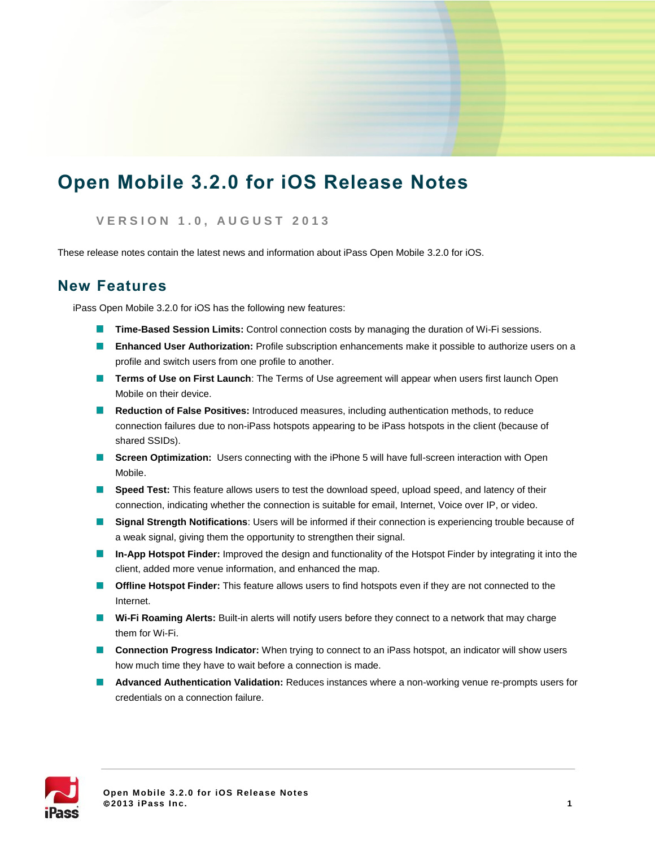# **Open Mobile 3.2.0 for iOS Release Notes**

#### **V E R S I O N 1 . 0 , A U G U S T 2013**

These release notes contain the latest news and information about iPass Open Mobile 3.2.0 for iOS.

### **New Features**

iPass Open Mobile 3.2.0 for iOS has the following new features:

- **Time-Based Session Limits:** Control connection costs by managing the duration of Wi-Fi sessions.
- **Enhanced User Authorization:** Profile subscription enhancements make it possible to authorize users on a profile and switch users from one profile to another.
- **Terms of Use on First Launch**: The Terms of Use agreement will appear when users first launch Open Mobile on their device.
- **Reduction of False Positives:** Introduced measures, including authentication methods, to reduce connection failures due to non-iPass hotspots appearing to be iPass hotspots in the client (because of shared SSIDs).
- **Screen Optimization:** Users connecting with the iPhone 5 will have full-screen interaction with Open Mobile.
- **Speed Test:** This feature allows users to test the download speed, upload speed, and latency of their connection, indicating whether the connection is suitable for email, Internet, Voice over IP, or video.
- **Signal Strength Notifications**: Users will be informed if their connection is experiencing trouble because of a weak signal, giving them the opportunity to strengthen their signal.
- **In-App Hotspot Finder:** Improved the design and functionality of the Hotspot Finder by integrating it into the client, added more venue information, and enhanced the map.
- **Offline Hotspot Finder:** This feature allows users to find hotspots even if they are not connected to the Internet.
- **Wi-Fi Roaming Alerts:** Built-in alerts will notify users before they connect to a network that may charge them for Wi-Fi.
- **Connection Progress Indicator:** When trying to connect to an iPass hotspot, an indicator will show users how much time they have to wait before a connection is made.
- **Advanced Authentication Validation:** Reduces instances where a non-working venue re-prompts users for credentials on a connection failure.

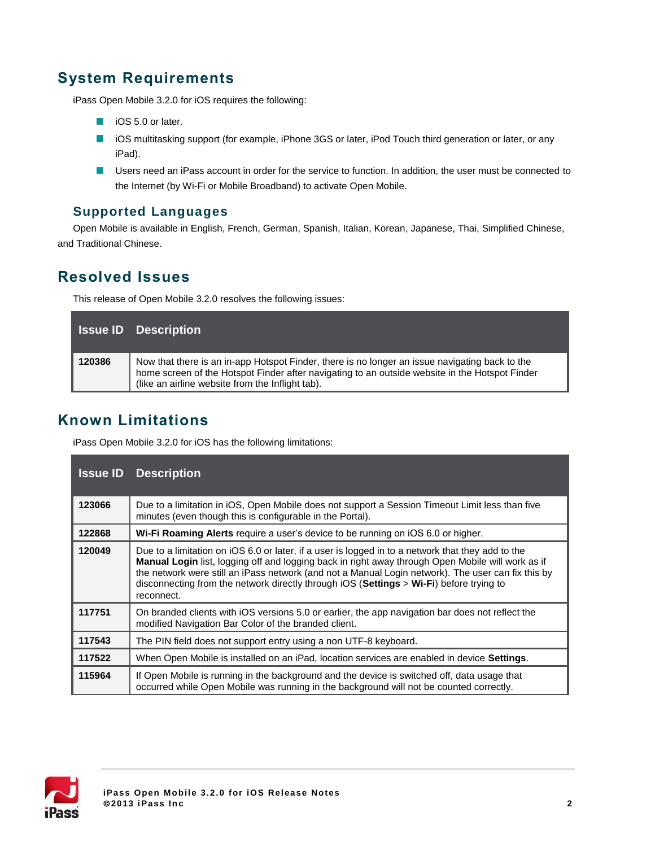# **System Requirements**

iPass Open Mobile 3.2.0 for iOS requires the following:

- iOS 5.0 or later.
- iOS multitasking support (for example, iPhone 3GS or later, iPod Touch third generation or later, or any  $\mathcal{A}$ iPad).
- **Users need an iPass account in order for the service to function. In addition, the user must be connected to** the Internet (by Wi-Fi or Mobile Broadband) to activate Open Mobile.

#### **Supported Languages**

Open Mobile is available in English, French, German, Spanish, Italian, Korean, Japanese, Thai, Simplified Chinese, and Traditional Chinese.

# **Resolved Issues**

This release of Open Mobile 3.2.0 resolves the following issues:

|        | <b>Issue ID</b> Description                                                                                                                                                                                                                          |
|--------|------------------------------------------------------------------------------------------------------------------------------------------------------------------------------------------------------------------------------------------------------|
| 120386 | Now that there is an in-app Hotspot Finder, there is no longer an issue navigating back to the<br>home screen of the Hotspot Finder after navigating to an outside website in the Hotspot Finder<br>(like an airline website from the Inflight tab). |

### **Known Limitations**

iPass Open Mobile 3.2.0 for iOS has the following limitations:

| <b>Issue ID</b> | <b>Description</b>                                                                                                                                                                                                                                                                                                                                                                                                    |
|-----------------|-----------------------------------------------------------------------------------------------------------------------------------------------------------------------------------------------------------------------------------------------------------------------------------------------------------------------------------------------------------------------------------------------------------------------|
| 123066          | Due to a limitation in iOS, Open Mobile does not support a Session Timeout Limit less than five<br>minutes (even though this is configurable in the Portal).                                                                                                                                                                                                                                                          |
| 122868          | Wi-Fi Roaming Alerts require a user's device to be running on iOS 6.0 or higher.                                                                                                                                                                                                                                                                                                                                      |
| 120049          | Due to a limitation on iOS 6.0 or later, if a user is logged in to a network that they add to the<br>Manual Login list, logging off and logging back in right away through Open Mobile will work as if<br>the network were still an iPass network (and not a Manual Login network). The user can fix this by<br>disconnecting from the network directly through iOS (Settings > Wi-Fi) before trying to<br>reconnect. |
| 117751          | On branded clients with iOS versions 5.0 or earlier, the app navigation bar does not reflect the<br>modified Navigation Bar Color of the branded client.                                                                                                                                                                                                                                                              |
| 117543          | The PIN field does not support entry using a non UTF-8 keyboard.                                                                                                                                                                                                                                                                                                                                                      |
| 117522          | When Open Mobile is installed on an iPad, location services are enabled in device <b>Settings</b> .                                                                                                                                                                                                                                                                                                                   |
| 115964          | If Open Mobile is running in the background and the device is switched off, data usage that<br>occurred while Open Mobile was running in the background will not be counted correctly.                                                                                                                                                                                                                                |